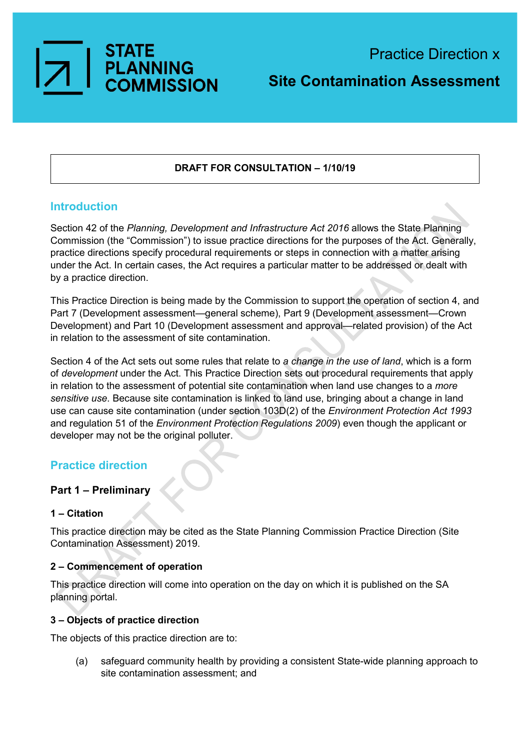

# **Site Contamination Assessment**

## **DRAFT FOR CONSULTATION – 1/10/19**

## **Introduction**

Section 42 of the *Planning, Development and Infrastructure Act 2016* allows the State Planning Commission (the "Commission") to issue practice directions for the purposes of the Act. Generally, practice directions specify procedural requirements or steps in connection with a matter arising under the Act. In certain cases, the Act requires a particular matter to be addressed or dealt with by a practice direction.

This Practice Direction is being made by the Commission to support the operation of section 4, and Part 7 (Development assessment—general scheme), Part 9 (Development assessment—Crown Development) and Part 10 (Development assessment and approval—related provision) of the Act in relation to the assessment of site contamination.

Section 4 of the Act sets out some rules that relate to *a change in the use of land*, which is a form of *development* under the Act. This Practice Direction sets out procedural requirements that apply in relation to the assessment of potential site contamination when land use changes to a *more sensitive use*. Because site contamination is linked to land use, bringing about a change in land use can cause site contamination (under section 103D(2) of the *Environment Protection Act 1993*  and regulation 51 of the *Environment Protection Regulations 2009*) even though the applicant or developer may not be the original polluter.

## **Practice direction**

### **Part 1 – Preliminary**

### **1 – Citation**

This practice direction may be cited as the State Planning Commission Practice Direction (Site Contamination Assessment) 2019.

### **2 – Commencement of operation**

This practice direction will come into operation on the day on which it is published on the SA planning portal.

### **3 – Objects of practice direction**

The objects of this practice direction are to:

(a) safeguard community health by providing a consistent State-wide planning approach to site contamination assessment; and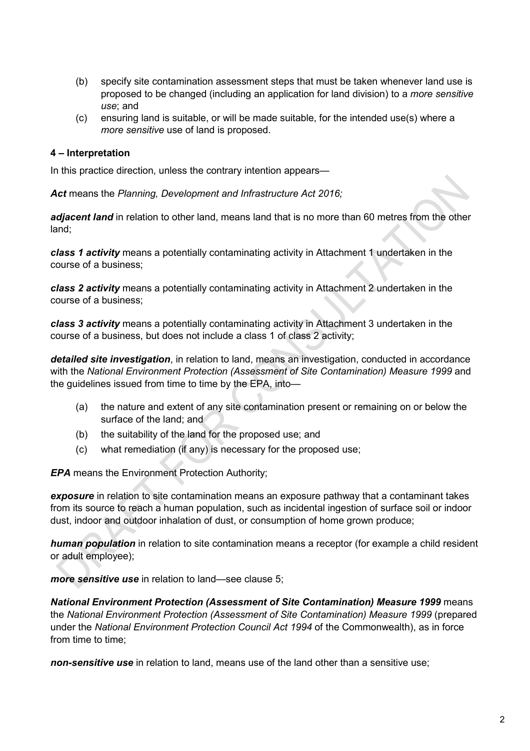- (b) specify site contamination assessment steps that must be taken whenever land use is proposed to be changed (including an application for land division) to a *more sensitive use*; and
- (c) ensuring land is suitable, or will be made suitable, for the intended use(s) where a *more sensitive* use of land is proposed.

### **4 – Interpretation**

In this practice direction, unless the contrary intention appears—

*Act* means the *Planning, Development and Infrastructure Act 2016;*

*adjacent land* in relation to other land, means land that is no more than 60 metres from the other land;

*class 1 activity* means a potentially contaminating activity in Attachment 1 undertaken in the course of a business;

*class 2 activity* means a potentially contaminating activity in Attachment 2 undertaken in the course of a business;

*class 3 activity* means a potentially contaminating activity in Attachment 3 undertaken in the course of a business, but does not include a class 1 of class 2 activity;

*detailed site investigation*, in relation to land, means an investigation, conducted in accordance with the *National Environment Protection (Assessment of Site Contamination) Measure 1999* and the guidelines issued from time to time by the EPA, into—

- (a) the nature and extent of any site contamination present or remaining on or below the surface of the land; and
- (b) the suitability of the land for the proposed use; and
- (c) what remediation (if any) is necessary for the proposed use;

*EPA* means the Environment Protection Authority;

*exposure* in relation to site contamination means an exposure pathway that a contaminant takes from its source to reach a human population, such as incidental ingestion of surface soil or indoor dust, indoor and outdoor inhalation of dust, or consumption of home grown produce;

*human population* in relation to site contamination means a receptor (for example a child resident or adult employee);

*more sensitive use* in relation to land—see clause 5;

*National Environment Protection (Assessment of Site Contamination) Measure 1999* means the *National Environment Protection (Assessment of Site Contamination) Measure 1999* (prepared under the *National Environment Protection Council Act 1994* of the Commonwealth), as in force from time to time;

*non-sensitive use* in relation to land, means use of the land other than a sensitive use;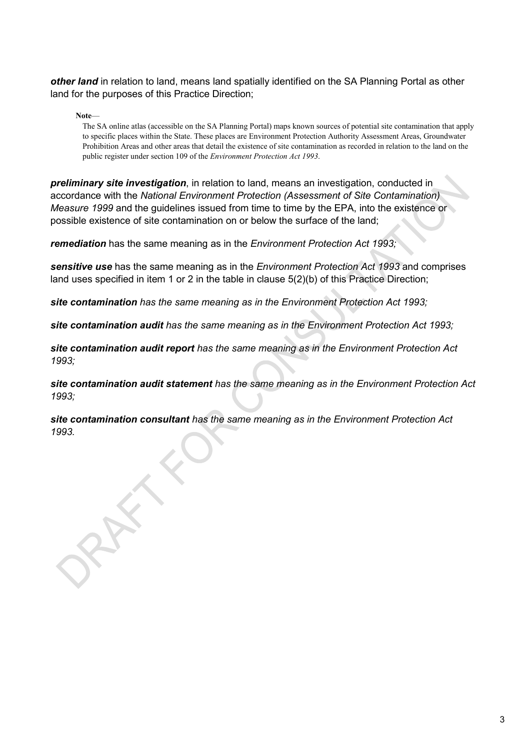*other land* in relation to land, means land spatially identified on the SA Planning Portal as other land for the purposes of this Practice Direction;

**Note**—

The SA online atlas (accessible on the SA Planning Portal) maps known sources of potential site contamination that apply to specific places within the State. These places are Environment Protection Authority Assessment Areas, Groundwater Prohibition Areas and other areas that detail the existence of site contamination as recorded in relation to the land on the public register under section 109 of the *Environment Protection Act 1993*.

*preliminary site investigation*, in relation to land, means an investigation, conducted in accordance with the *National Environment Protection (Assessment of Site Contamination) Measure 1999* and the guidelines issued from time to time by the EPA, into the existence or possible existence of site contamination on or below the surface of the land;

*remediation* has the same meaning as in the *Environment Protection Act 1993;*

*sensitive use* has the same meaning as in the *Environment Protection Act 1993* and comprises land uses specified in item 1 or 2 in the table in clause 5(2)(b) of this Practice Direction;

*site contamination has the same meaning as in the Environment Protection Act 1993;* 

*site contamination audit has the same meaning as in the Environment Protection Act 1993;* 

*site contamination audit report has the same meaning as in the Environment Protection Act 1993;* 

*site contamination audit statement has the same meaning as in the Environment Protection Act 1993;* 

*site contamination consultant has the same meaning as in the Environment Protection Act 1993.*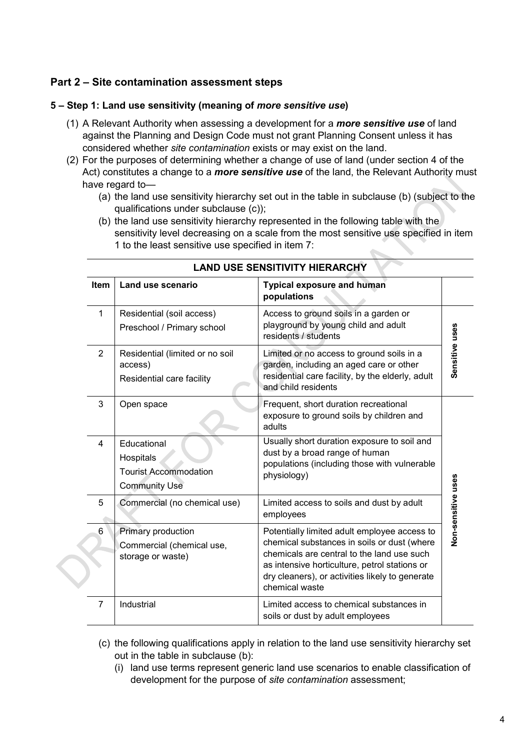## **Part 2 – Site contamination assessment steps**

### **5 – Step 1: Land use sensitivity (meaning of** *more sensitive use***)**

- (1) A Relevant Authority when assessing a development for a *more sensitive use* of land against the Planning and Design Code must not grant Planning Consent unless it has considered whether *site contamination* exists or may exist on the land.
- (2) For the purposes of determining whether a change of use of land (under section 4 of the Act) constitutes a change to a *more sensitive use* of the land, the Relevant Authority must have regard to—
	- (a) the land use sensitivity hierarchy set out in the table in subclause (b) (subject to the qualifications under subclause (c));
	- (b) the land use sensitivity hierarchy represented in the following table with the sensitivity level decreasing on a scale from the most sensitive use specified in item 1 to the least sensitive use specified in item 7:

| Item           | Land use scenario                                                                | <b>Typical exposure and human</b><br>populations                                                                                                                                                                                                                |                    |  |
|----------------|----------------------------------------------------------------------------------|-----------------------------------------------------------------------------------------------------------------------------------------------------------------------------------------------------------------------------------------------------------------|--------------------|--|
| 1              | Residential (soil access)<br>Preschool / Primary school                          | Access to ground soils in a garden or<br>playground by young child and adult<br>residents / students                                                                                                                                                            |                    |  |
| $\overline{2}$ | Residential (limited or no soil<br>access)<br>Residential care facility          | Limited or no access to ground soils in a<br>garden, including an aged care or other<br>residential care facility, by the elderly, adult<br>and child residents                                                                                                 | Sensitive uses     |  |
| 3              | Open space                                                                       | Frequent, short duration recreational<br>exposure to ground soils by children and<br>adults                                                                                                                                                                     |                    |  |
| 4              | Educational<br>Hospitals<br><b>Tourist Accommodation</b><br><b>Community Use</b> | Usually short duration exposure to soil and<br>dust by a broad range of human<br>populations (including those with vulnerable<br>physiology)                                                                                                                    |                    |  |
| 5              | Commercial (no chemical use)                                                     | Limited access to soils and dust by adult<br>employees                                                                                                                                                                                                          | Non-sensitive uses |  |
| 6              | Primary production<br>Commercial (chemical use,<br>storage or waste)             | Potentially limited adult employee access to<br>chemical substances in soils or dust (where<br>chemicals are central to the land use such<br>as intensive horticulture, petrol stations or<br>dry cleaners), or activities likely to generate<br>chemical waste |                    |  |
| $\overline{7}$ | Industrial                                                                       | Limited access to chemical substances in<br>soils or dust by adult employees                                                                                                                                                                                    |                    |  |

### **LAND USE SENSITIVITY HIERARCHY**

- (c) the following qualifications apply in relation to the land use sensitivity hierarchy set out in the table in subclause (b):
	- (i) land use terms represent generic land use scenarios to enable classification of development for the purpose of *site contamination* assessment;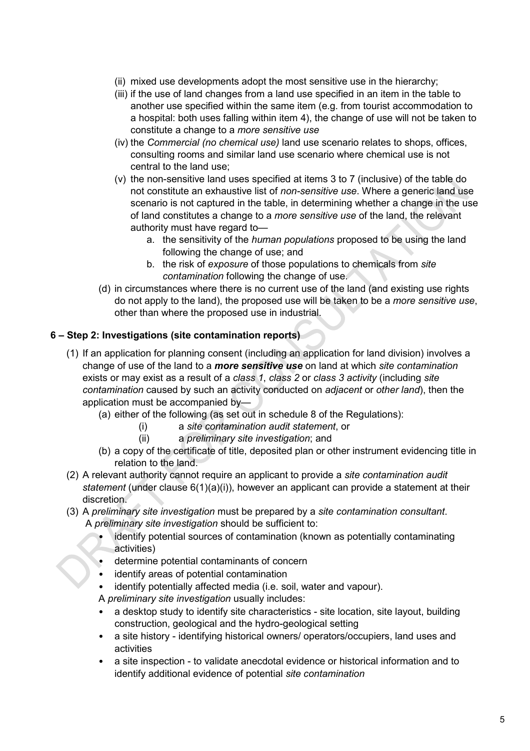- (ii) mixed use developments adopt the most sensitive use in the hierarchy;
- (iii) if the use of land changes from a land use specified in an item in the table to another use specified within the same item (e.g. from tourist accommodation to a hospital: both uses falling within item 4), the change of use will not be taken to constitute a change to a *more sensitive use*
- (iv) the *Commercial (no chemical use)* land use scenario relates to shops, offices, consulting rooms and similar land use scenario where chemical use is not central to the land use;
- (v) the non-sensitive land uses specified at items 3 to 7 (inclusive) of the table do not constitute an exhaustive list of *non-sensitive use*. Where a generic land use scenario is not captured in the table, in determining whether a change in the use of land constitutes a change to a *more sensitive use* of the land, the relevant authority must have regard to
	- a. the sensitivity of the *human populations* proposed to be using the land following the change of use; and
	- b. the risk of *exposure* of those populations to chemicals from *site contamination* following the change of use.
- (d) in circumstances where there is no current use of the land (and existing use rights do not apply to the land), the proposed use will be taken to be a *more sensitive use*, other than where the proposed use in industrial.

## **6 – Step 2: Investigations (site contamination reports)**

- (1) If an application for planning consent (including an application for land division) involves a change of use of the land to a *more sensitive use* on land at which *site contamination* exists or may exist as a result of a *class 1*, *class 2* or *class 3 activity* (including *site contamination* caused by such an activity conducted on *adjacent* or *other land*), then the application must be accompanied by—
	- (a) either of the following (as set out in schedule 8 of the Regulations):
		- (i) a *site contamination audit statement*, or
		- (ii) a *preliminary site investigation*; and
	- (b) a copy of the certificate of title, deposited plan or other instrument evidencing title in relation to the land.
- (2) A relevant authority cannot require an applicant to provide a *site contamination audit statement* (under clause 6(1)(a)(i)), however an applicant can provide a statement at their discretion.
- (3) A *preliminary site investigation* must be prepared by a *site contamination consultant*. A *preliminary site investigation* should be sufficient to:
	- identify potential sources of contamination (known as potentially contaminating activities)
	- determine potential contaminants of concern
	- identify areas of potential contamination
	- identify potentially affected media (i.e. soil, water and vapour).

A *preliminary site investigation* usually includes:

- a desktop study to identify site characteristics site location, site layout, building construction, geological and the hydro-geological setting
- a site history identifying historical owners/ operators/occupiers, land uses and activities
- a site inspection to validate anecdotal evidence or historical information and to identify additional evidence of potential *site contamination*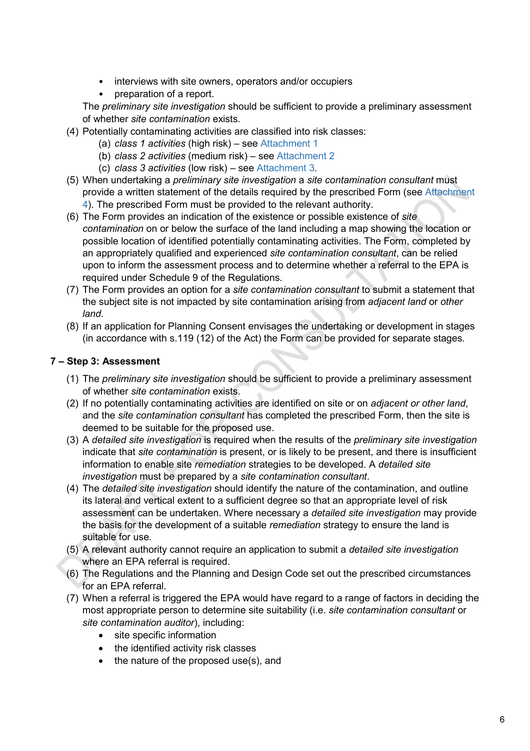- interviews with site owners, operators and/or occupiers
- preparation of a report.

The *preliminary site investigation* should be sufficient to provide a preliminary assessment of whether *site contamination* exists.

- (4) Potentially contaminating activities are classified into risk classes:
	- (a) *class 1 activities* (high risk) see Attachment 1
	- (b) *class 2 activities* (medium risk) see Attachment 2
	- (c) *class 3 activities* (low risk) see Attachment 3.
- (5) When undertaking a *preliminary site investigation* a *site contamination consultant* must provide a written statement of the details required by the prescribed Form (see Attachment 4). The prescribed Form must be provided to the relevant authority.
- (6) The Form provides an indication of the existence or possible existence of *site contamination* on or below the surface of the land including a map showing the location or possible location of identified potentially contaminating activities. The Form, completed by an appropriately qualified and experienced *site contamination consultant*, can be relied upon to inform the assessment process and to determine whether a referral to the EPA is required under Schedule 9 of the Regulations.
- (7) The Form provides an option for a *site contamination consultant* to submit a statement that the subject site is not impacted by site contamination arising from *adjacent land* or *other land*.
- (8) If an application for Planning Consent envisages the undertaking or development in stages (in accordance with s.119 (12) of the Act) the Form can be provided for separate stages.

## **7 – Step 3: Assessment**

- (1) The *preliminary site investigation* should be sufficient to provide a preliminary assessment of whether *site contamination* exists.
- (2) If no potentially contaminating activities are identified on site or on *adjacent or other land*, and the *site contamination consultant* has completed the prescribed Form, then the site is deemed to be suitable for the proposed use.
- (3) A *detailed site investigation* is required when the results of the *preliminary site investigation* indicate that *site contamination* is present, or is likely to be present, and there is insufficient information to enable site *remediation* strategies to be developed. A *detailed site investigation* must be prepared by a *site contamination consultant*.
- (4) The *detailed site investigation* should identify the nature of the contamination, and outline its lateral and vertical extent to a sufficient degree so that an appropriate level of risk assessment can be undertaken. Where necessary a *detailed site investigation* may provide the basis for the development of a suitable *remediation* strategy to ensure the land is suitable for use.
- (5) A relevant authority cannot require an application to submit a *detailed site investigation* where an EPA referral is required.
- (6) The Regulations and the Planning and Design Code set out the prescribed circumstances for an EPA referral.
- (7) When a referral is triggered the EPA would have regard to a range of factors in deciding the most appropriate person to determine site suitability (i.e. *site contamination consultant* or *site contamination auditor*), including:
	- site specific information
	- the identified activity risk classes
	- the nature of the proposed use(s), and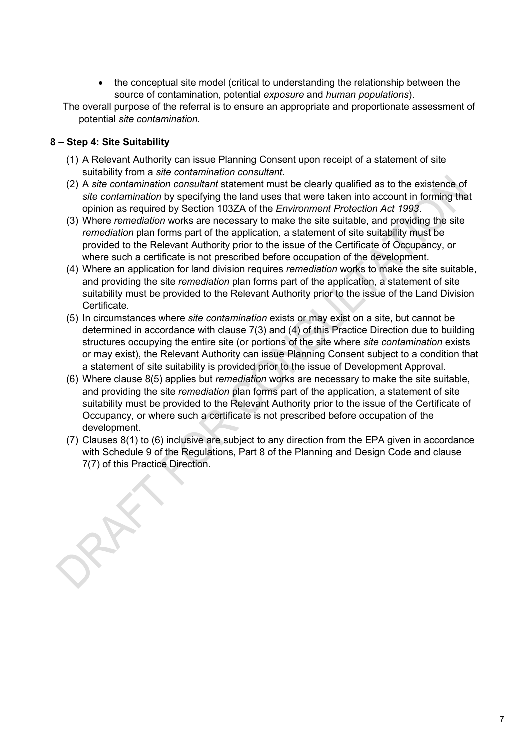- the conceptual site model (critical to understanding the relationship between the source of contamination, potential *exposure* and *human populations*).
- The overall purpose of the referral is to ensure an appropriate and proportionate assessment of potential *site contamination*.

## **8 – Step 4: Site Suitability**

- (1) A Relevant Authority can issue Planning Consent upon receipt of a statement of site suitability from a *site contamination consultant*.
- (2) A *site contamination consultant* statement must be clearly qualified as to the existence of *site contamination* by specifying the land uses that were taken into account in forming that opinion as required by Section 103ZA of the *Environment Protection Act 1993*.
- (3) Where *remediation* works are necessary to make the site suitable, and providing the site *remediation* plan forms part of the application, a statement of site suitability must be provided to the Relevant Authority prior to the issue of the Certificate of Occupancy, or where such a certificate is not prescribed before occupation of the development.
- (4) Where an application for land division requires *remediation* works to make the site suitable, and providing the site *remediation* plan forms part of the application, a statement of site suitability must be provided to the Relevant Authority prior to the issue of the Land Division Certificate.
- (5) In circumstances where *site contamination* exists or may exist on a site, but cannot be determined in accordance with clause 7(3) and (4) of this Practice Direction due to building structures occupying the entire site (or portions of the site where *site contamination* exists or may exist), the Relevant Authority can issue Planning Consent subject to a condition that a statement of site suitability is provided prior to the issue of Development Approval.
- (6) Where clause 8(5) applies but *remediation* works are necessary to make the site suitable, and providing the site *remediation* plan forms part of the application, a statement of site suitability must be provided to the Relevant Authority prior to the issue of the Certificate of Occupancy, or where such a certificate is not prescribed before occupation of the development.
- (7) Clauses 8(1) to (6) inclusive are subject to any direction from the EPA given in accordance with Schedule 9 of the Regulations, Part 8 of the Planning and Design Code and clause 7(7) of this Practice Direction.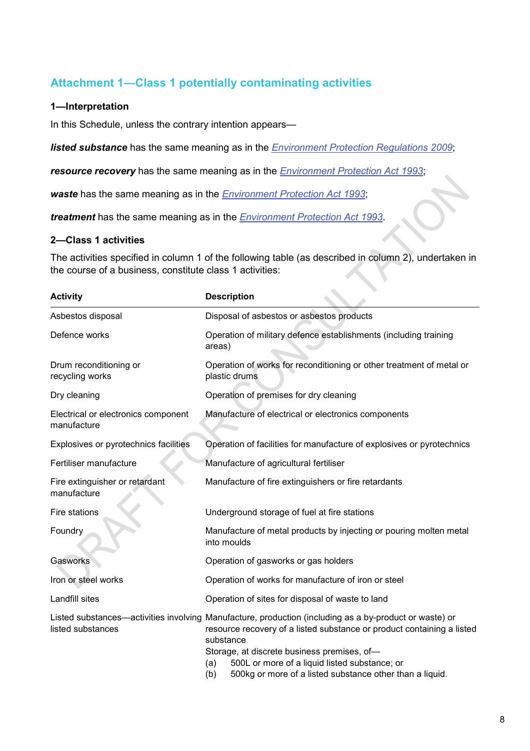## **Attachment 1—Class 1 potentially contaminating activities**

### **1—Interpretation**

In this Schedule, unless the contrary intention appears—

*listed substance* has the same meaning as in the *[Environment Protection Regulations](http://www.legislation.sa.gov.au/index.aspx?action=legref&type=act&legtitle=Environment%20Protection%20Regulations%202009) 2009*;

*resource recovery* has the same meaning as in the *[Environment Protection Act](http://www.legislation.sa.gov.au/index.aspx?action=legref&type=act&legtitle=Environment%20Protection%20Act%201993) 1993*;

*waste* has the same meaning as in the *[Environment Protection Act](http://www.legislation.sa.gov.au/index.aspx?action=legref&type=act&legtitle=Environment%20Protection%20Act%201993) 1993*;

*treatment* has the same meaning as in the *[Environment Protection Act](http://www.legislation.sa.gov.au/index.aspx?action=legref&type=act&legtitle=Environment%20Protection%20Act%201993) 1993*.

### **2—Class 1 activities**

The activities specified in column 1 of the following table (as described in column 2), undertaken in the course of a business, constitute class 1 activities:

| <b>Activity</b>                                    | <b>Description</b>                                                                                                                                                                                                                                                                                                                                                      |
|----------------------------------------------------|-------------------------------------------------------------------------------------------------------------------------------------------------------------------------------------------------------------------------------------------------------------------------------------------------------------------------------------------------------------------------|
| Asbestos disposal                                  | Disposal of asbestos or asbestos products                                                                                                                                                                                                                                                                                                                               |
| Defence works                                      | Operation of military defence establishments (including training<br>areas)                                                                                                                                                                                                                                                                                              |
| Drum reconditioning or<br>recycling works          | Operation of works for reconditioning or other treatment of metal or<br>plastic drums                                                                                                                                                                                                                                                                                   |
| Dry cleaning                                       | Operation of premises for dry cleaning                                                                                                                                                                                                                                                                                                                                  |
| Electrical or electronics component<br>manufacture | Manufacture of electrical or electronics components                                                                                                                                                                                                                                                                                                                     |
| Explosives or pyrotechnics facilities              | Operation of facilities for manufacture of explosives or pyrotechnics                                                                                                                                                                                                                                                                                                   |
| Fertiliser manufacture                             | Manufacture of agricultural fertiliser                                                                                                                                                                                                                                                                                                                                  |
| Fire extinguisher or retardant<br>manufacture      | Manufacture of fire extinguishers or fire retardants                                                                                                                                                                                                                                                                                                                    |
| Fire stations                                      | Underground storage of fuel at fire stations                                                                                                                                                                                                                                                                                                                            |
| Foundry                                            | Manufacture of metal products by injecting or pouring molten metal<br>into moulds                                                                                                                                                                                                                                                                                       |
| Gasworks                                           | Operation of gasworks or gas holders                                                                                                                                                                                                                                                                                                                                    |
| Iron or steel works                                | Operation of works for manufacture of iron or steel                                                                                                                                                                                                                                                                                                                     |
| Landfill sites                                     | Operation of sites for disposal of waste to land                                                                                                                                                                                                                                                                                                                        |
| listed substances                                  | Listed substances—activities involving Manufacture, production (including as a by-product or waste) or<br>resource recovery of a listed substance or product containing a listed<br>substance<br>Storage, at discrete business premises, of-<br>500L or more of a liquid listed substance; or<br>(a)<br>(b)<br>500kg or more of a listed substance other than a liquid. |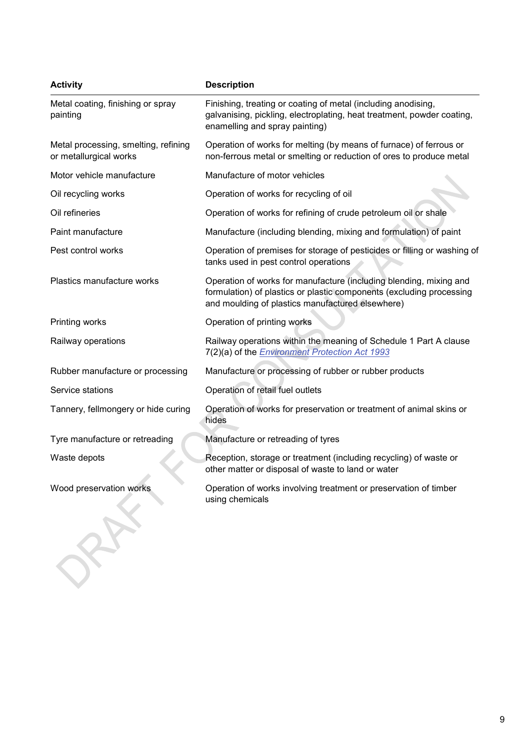| <b>Activity</b>                                                | <b>Description</b>                                                                                                                                                                             |
|----------------------------------------------------------------|------------------------------------------------------------------------------------------------------------------------------------------------------------------------------------------------|
| Metal coating, finishing or spray<br>painting                  | Finishing, treating or coating of metal (including anodising,<br>galvanising, pickling, electroplating, heat treatment, powder coating,<br>enamelling and spray painting)                      |
| Metal processing, smelting, refining<br>or metallurgical works | Operation of works for melting (by means of furnace) of ferrous or<br>non-ferrous metal or smelting or reduction of ores to produce metal                                                      |
| Motor vehicle manufacture                                      | Manufacture of motor vehicles                                                                                                                                                                  |
| Oil recycling works                                            | Operation of works for recycling of oil                                                                                                                                                        |
| Oil refineries                                                 | Operation of works for refining of crude petroleum oil or shale                                                                                                                                |
| Paint manufacture                                              | Manufacture (including blending, mixing and formulation) of paint                                                                                                                              |
| Pest control works                                             | Operation of premises for storage of pesticides or filling or washing of<br>tanks used in pest control operations                                                                              |
| Plastics manufacture works                                     | Operation of works for manufacture (including blending, mixing and<br>formulation) of plastics or plastic components (excluding processing<br>and moulding of plastics manufactured elsewhere) |
| Printing works                                                 | Operation of printing works                                                                                                                                                                    |
| Railway operations                                             | Railway operations within the meaning of Schedule 1 Part A clause<br>7(2)(a) of the <i>Environment Protection Act 1993</i>                                                                     |
| Rubber manufacture or processing                               | Manufacture or processing of rubber or rubber products                                                                                                                                         |
| Service stations                                               | Operation of retail fuel outlets                                                                                                                                                               |
| Tannery, fellmongery or hide curing                            | Operation of works for preservation or treatment of animal skins or<br>hides                                                                                                                   |
| Tyre manufacture or retreading                                 | Manufacture or retreading of tyres                                                                                                                                                             |
| Waste depots                                                   | Reception, storage or treatment (including recycling) of waste or<br>other matter or disposal of waste to land or water                                                                        |
| Wood preservation works                                        | Operation of works involving treatment or preservation of timber<br>using chemicals                                                                                                            |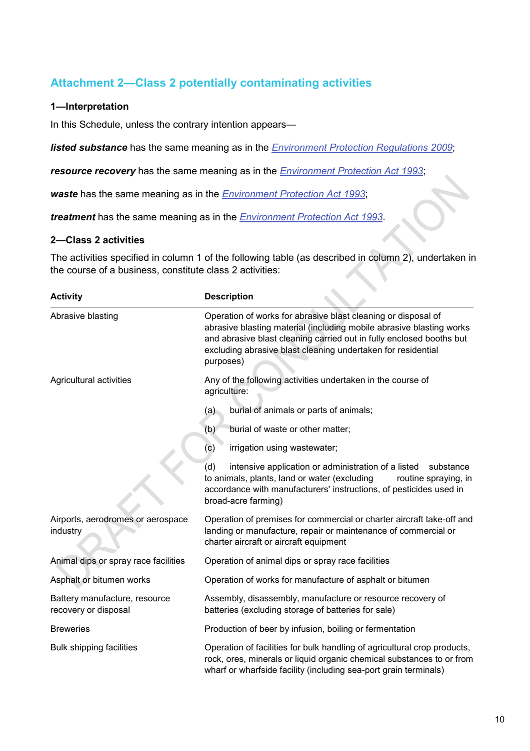## **Attachment 2—Class 2 potentially contaminating activities**

### **1—Interpretation**

In this Schedule, unless the contrary intention appears—

*listed substance* has the same meaning as in the *[Environment Protection Regulations](http://www.legislation.sa.gov.au/index.aspx?action=legref&type=act&legtitle=Environment%20Protection%20Regulations%202009) 2009*;

*resource recovery* has the same meaning as in the *[Environment Protection Act](http://www.legislation.sa.gov.au/index.aspx?action=legref&type=act&legtitle=Environment%20Protection%20Act%201993) 1993*;

*waste* has the same meaning as in the *[Environment Protection Act](http://www.legislation.sa.gov.au/index.aspx?action=legref&type=act&legtitle=Environment%20Protection%20Act%201993) 1993*;

*treatment* has the same meaning as in the *[Environment Protection Act](http://www.legislation.sa.gov.au/index.aspx?action=legref&type=act&legtitle=Environment%20Protection%20Act%201993) 1993*.

### **2—Class 2 activities**

The activities specified in column 1 of the following table (as described in column 2), undertaken in the course of a business, constitute class 2 activities:

| <b>Activity</b>                                       | <b>Description</b>                                                                                                                                                                                                                                                                         |
|-------------------------------------------------------|--------------------------------------------------------------------------------------------------------------------------------------------------------------------------------------------------------------------------------------------------------------------------------------------|
| Abrasive blasting                                     | Operation of works for abrasive blast cleaning or disposal of<br>abrasive blasting material (including mobile abrasive blasting works<br>and abrasive blast cleaning carried out in fully enclosed booths but<br>excluding abrasive blast cleaning undertaken for residential<br>purposes) |
| Agricultural activities                               | Any of the following activities undertaken in the course of<br>agriculture:                                                                                                                                                                                                                |
|                                                       | burial of animals or parts of animals;<br>(a)                                                                                                                                                                                                                                              |
|                                                       | burial of waste or other matter;<br>(b)                                                                                                                                                                                                                                                    |
|                                                       | irrigation using wastewater;<br>(c)                                                                                                                                                                                                                                                        |
|                                                       | (d)<br>intensive application or administration of a listed<br>substance<br>to animals, plants, land or water (excluding<br>routine spraying, in<br>accordance with manufacturers' instructions, of pesticides used in<br>broad-acre farming)                                               |
| Airports, aerodromes or aerospace<br>industry         | Operation of premises for commercial or charter aircraft take-off and<br>landing or manufacture, repair or maintenance of commercial or<br>charter aircraft or aircraft equipment                                                                                                          |
| Animal dips or spray race facilities                  | Operation of animal dips or spray race facilities                                                                                                                                                                                                                                          |
| Asphalt or bitumen works                              | Operation of works for manufacture of asphalt or bitumen                                                                                                                                                                                                                                   |
| Battery manufacture, resource<br>recovery or disposal | Assembly, disassembly, manufacture or resource recovery of<br>batteries (excluding storage of batteries for sale)                                                                                                                                                                          |
| <b>Breweries</b>                                      | Production of beer by infusion, boiling or fermentation                                                                                                                                                                                                                                    |
| <b>Bulk shipping facilities</b>                       | Operation of facilities for bulk handling of agricultural crop products,<br>rock, ores, minerals or liquid organic chemical substances to or from<br>wharf or wharfside facility (including sea-port grain terminals)                                                                      |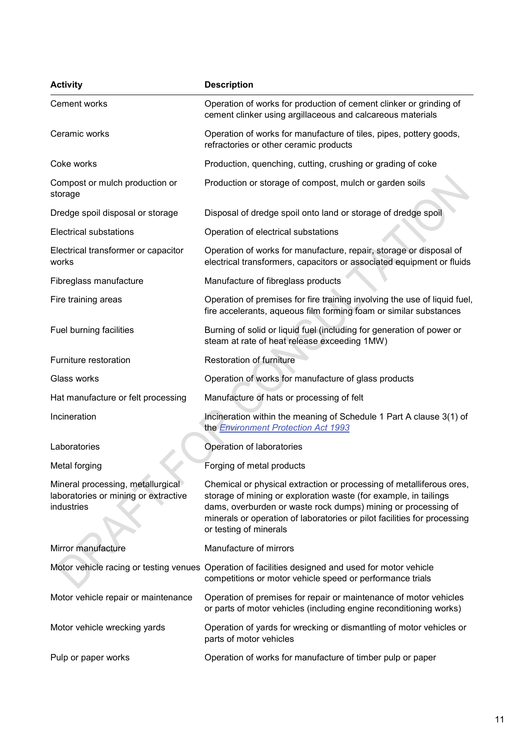| <b>Activity</b>                                                                         | <b>Description</b>                                                                                                                                                                                                                                                                                              |
|-----------------------------------------------------------------------------------------|-----------------------------------------------------------------------------------------------------------------------------------------------------------------------------------------------------------------------------------------------------------------------------------------------------------------|
| Cement works                                                                            | Operation of works for production of cement clinker or grinding of<br>cement clinker using argillaceous and calcareous materials                                                                                                                                                                                |
| Ceramic works                                                                           | Operation of works for manufacture of tiles, pipes, pottery goods,<br>refractories or other ceramic products                                                                                                                                                                                                    |
| Coke works                                                                              | Production, quenching, cutting, crushing or grading of coke                                                                                                                                                                                                                                                     |
| Compost or mulch production or<br>storage                                               | Production or storage of compost, mulch or garden soils                                                                                                                                                                                                                                                         |
| Dredge spoil disposal or storage                                                        | Disposal of dredge spoil onto land or storage of dredge spoil                                                                                                                                                                                                                                                   |
| <b>Electrical substations</b>                                                           | Operation of electrical substations                                                                                                                                                                                                                                                                             |
| Electrical transformer or capacitor<br>works                                            | Operation of works for manufacture, repair, storage or disposal of<br>electrical transformers, capacitors or associated equipment or fluids                                                                                                                                                                     |
| Fibreglass manufacture                                                                  | Manufacture of fibreglass products                                                                                                                                                                                                                                                                              |
| Fire training areas                                                                     | Operation of premises for fire training involving the use of liquid fuel,<br>fire accelerants, aqueous film forming foam or similar substances                                                                                                                                                                  |
| Fuel burning facilities                                                                 | Burning of solid or liquid fuel (including for generation of power or<br>steam at rate of heat release exceeding 1MW)                                                                                                                                                                                           |
| Furniture restoration                                                                   | Restoration of furniture                                                                                                                                                                                                                                                                                        |
| Glass works                                                                             | Operation of works for manufacture of glass products                                                                                                                                                                                                                                                            |
| Hat manufacture or felt processing                                                      | Manufacture of hats or processing of felt                                                                                                                                                                                                                                                                       |
| Incineration                                                                            | Incineration within the meaning of Schedule 1 Part A clause 3(1) of<br>the Environment Protection Act 1993                                                                                                                                                                                                      |
| Laboratories                                                                            | Operation of laboratories                                                                                                                                                                                                                                                                                       |
| Metal forging                                                                           | Forging of metal products                                                                                                                                                                                                                                                                                       |
| Mineral processing, metallurgical<br>laboratories or mining or extractive<br>industries | Chemical or physical extraction or processing of metalliferous ores,<br>storage of mining or exploration waste (for example, in tailings<br>dams, overburden or waste rock dumps) mining or processing of<br>minerals or operation of laboratories or pilot facilities for processing<br>or testing of minerals |
| Mirror manufacture                                                                      | Manufacture of mirrors                                                                                                                                                                                                                                                                                          |
|                                                                                         | Motor vehicle racing or testing venues Operation of facilities designed and used for motor vehicle<br>competitions or motor vehicle speed or performance trials                                                                                                                                                 |
| Motor vehicle repair or maintenance                                                     | Operation of premises for repair or maintenance of motor vehicles<br>or parts of motor vehicles (including engine reconditioning works)                                                                                                                                                                         |
| Motor vehicle wrecking yards                                                            | Operation of yards for wrecking or dismantling of motor vehicles or<br>parts of motor vehicles                                                                                                                                                                                                                  |
| Pulp or paper works                                                                     | Operation of works for manufacture of timber pulp or paper                                                                                                                                                                                                                                                      |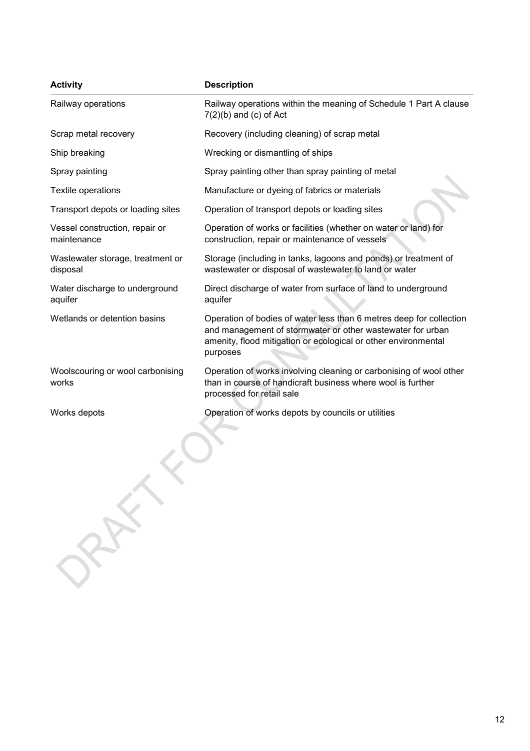| <b>Activity</b>                               | <b>Description</b>                                                                                                                                                                                              |
|-----------------------------------------------|-----------------------------------------------------------------------------------------------------------------------------------------------------------------------------------------------------------------|
| Railway operations                            | Railway operations within the meaning of Schedule 1 Part A clause<br>$7(2)(b)$ and $(c)$ of Act                                                                                                                 |
| Scrap metal recovery                          | Recovery (including cleaning) of scrap metal                                                                                                                                                                    |
| Ship breaking                                 | Wrecking or dismantling of ships                                                                                                                                                                                |
| Spray painting                                | Spray painting other than spray painting of metal                                                                                                                                                               |
| Textile operations                            | Manufacture or dyeing of fabrics or materials                                                                                                                                                                   |
| Transport depots or loading sites             | Operation of transport depots or loading sites                                                                                                                                                                  |
| Vessel construction, repair or<br>maintenance | Operation of works or facilities (whether on water or land) for<br>construction, repair or maintenance of vessels                                                                                               |
| Wastewater storage, treatment or<br>disposal  | Storage (including in tanks, lagoons and ponds) or treatment of<br>wastewater or disposal of wastewater to land or water                                                                                        |
| Water discharge to underground<br>aquifer     | Direct discharge of water from surface of land to underground<br>aquifer                                                                                                                                        |
| Wetlands or detention basins                  | Operation of bodies of water less than 6 metres deep for collection<br>and management of stormwater or other wastewater for urban<br>amenity, flood mitigation or ecological or other environmental<br>purposes |
| Woolscouring or wool carbonising<br>works     | Operation of works involving cleaning or carbonising of wool other<br>than in course of handicraft business where wool is further<br>processed for retail sale                                                  |
| Works depots<br>RAX                           | Operation of works depots by councils or utilities                                                                                                                                                              |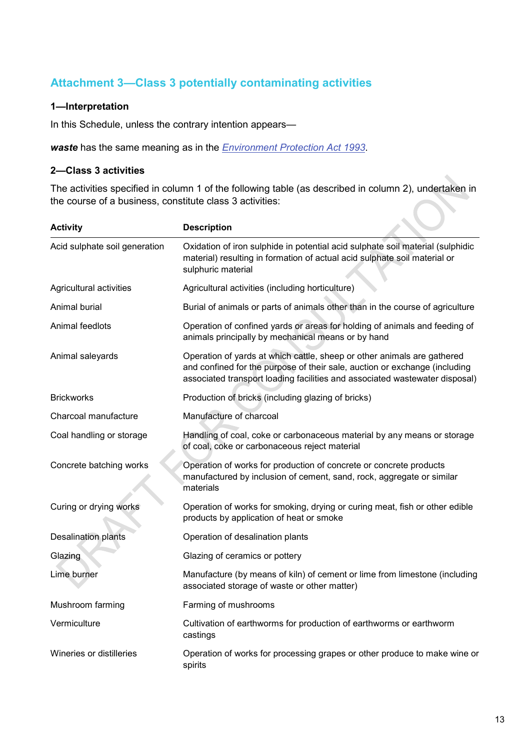## **Attachment 3—Class 3 potentially contaminating activities**

### **1—Interpretation**

In this Schedule, unless the contrary intention appears—

*waste* has the same meaning as in the *[Environment Protection Act](http://www.legislation.sa.gov.au/index.aspx?action=legref&type=act&legtitle=Environment%20Protection%20Act%201993) 1993*.

### **2—Class 3 activities**

The activities specified in column 1 of the following table (as described in column 2), undertaken in the course of a business, constitute class 3 activities: Y

| <b>Activity</b>               | <b>Description</b>                                                                                                                                                                                                                   |
|-------------------------------|--------------------------------------------------------------------------------------------------------------------------------------------------------------------------------------------------------------------------------------|
| Acid sulphate soil generation | Oxidation of iron sulphide in potential acid sulphate soil material (sulphidic<br>material) resulting in formation of actual acid sulphate soil material or<br>sulphuric material                                                    |
| Agricultural activities       | Agricultural activities (including horticulture)                                                                                                                                                                                     |
| Animal burial                 | Burial of animals or parts of animals other than in the course of agriculture                                                                                                                                                        |
| Animal feedlots               | Operation of confined yards or areas for holding of animals and feeding of<br>animals principally by mechanical means or by hand                                                                                                     |
| Animal saleyards              | Operation of yards at which cattle, sheep or other animals are gathered<br>and confined for the purpose of their sale, auction or exchange (including<br>associated transport loading facilities and associated wastewater disposal) |
| <b>Brickworks</b>             | Production of bricks (including glazing of bricks)                                                                                                                                                                                   |
| Charcoal manufacture          | Manufacture of charcoal                                                                                                                                                                                                              |
| Coal handling or storage      | Handling of coal, coke or carbonaceous material by any means or storage<br>of coal, coke or carbonaceous reject material                                                                                                             |
| Concrete batching works       | Operation of works for production of concrete or concrete products<br>manufactured by inclusion of cement, sand, rock, aggregate or similar<br>materials                                                                             |
| Curing or drying works        | Operation of works for smoking, drying or curing meat, fish or other edible<br>products by application of heat or smoke                                                                                                              |
| Desalination plants           | Operation of desalination plants                                                                                                                                                                                                     |
| Glazing                       | Glazing of ceramics or pottery                                                                                                                                                                                                       |
| Lime burner                   | Manufacture (by means of kiln) of cement or lime from limestone (including<br>associated storage of waste or other matter)                                                                                                           |
| Mushroom farming              | Farming of mushrooms                                                                                                                                                                                                                 |
| Vermiculture                  | Cultivation of earthworms for production of earthworms or earthworm<br>castings                                                                                                                                                      |
| Wineries or distilleries      | Operation of works for processing grapes or other produce to make wine or<br>spirits                                                                                                                                                 |